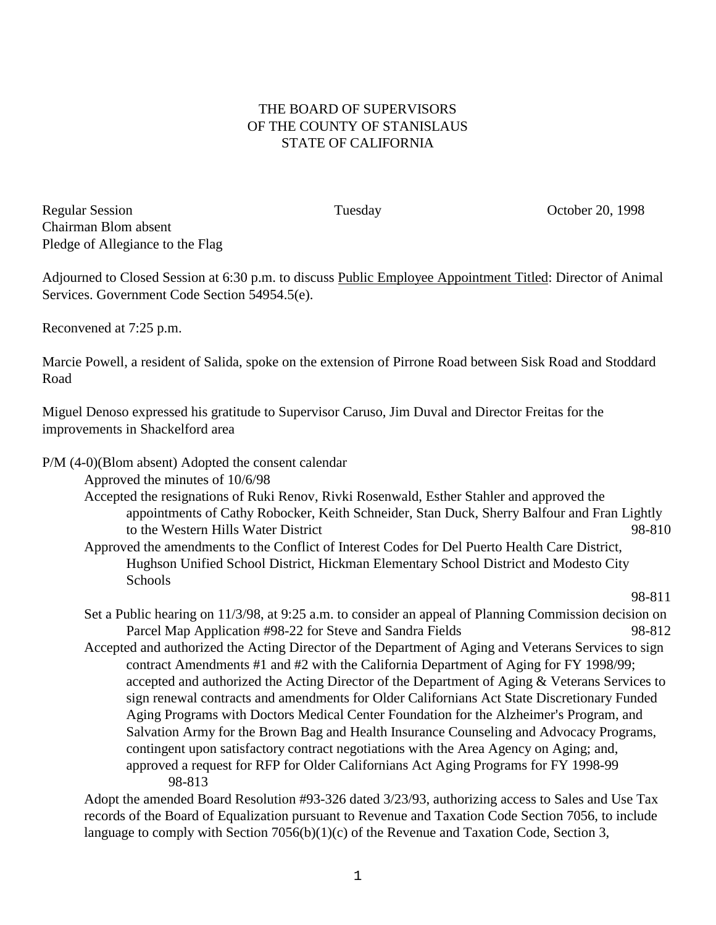## THE BOARD OF SUPERVISORS OF THE COUNTY OF STANISLAUS STATE OF CALIFORNIA

Regular Session Tuesday October 20, 1998 Chairman Blom absent Pledge of Allegiance to the Flag

Adjourned to Closed Session at 6:30 p.m. to discuss Public Employee Appointment Titled: Director of Animal Services. Government Code Section 54954.5(e).

Reconvened at 7:25 p.m.

Marcie Powell, a resident of Salida, spoke on the extension of Pirrone Road between Sisk Road and Stoddard Road

Miguel Denoso expressed his gratitude to Supervisor Caruso, Jim Duval and Director Freitas for the improvements in Shackelford area

P/M (4-0)(Blom absent) Adopted the consent calendar

Approved the minutes of 10/6/98

- Accepted the resignations of Ruki Renov, Rivki Rosenwald, Esther Stahler and approved the appointments of Cathy Robocker, Keith Schneider, Stan Duck, Sherry Balfour and Fran Lightly to the Western Hills Water District 98-810
- Approved the amendments to the Conflict of Interest Codes for Del Puerto Health Care District, Hughson Unified School District, Hickman Elementary School District and Modesto City **Schools**

98-811

- Set a Public hearing on 11/3/98, at 9:25 a.m. to consider an appeal of Planning Commission decision on Parcel Map Application #98-22 for Steve and Sandra Fields 98-812
- Accepted and authorized the Acting Director of the Department of Aging and Veterans Services to sign contract Amendments #1 and #2 with the California Department of Aging for FY 1998/99; accepted and authorized the Acting Director of the Department of Aging & Veterans Services to sign renewal contracts and amendments for Older Californians Act State Discretionary Funded Aging Programs with Doctors Medical Center Foundation for the Alzheimer's Program, and Salvation Army for the Brown Bag and Health Insurance Counseling and Advocacy Programs, contingent upon satisfactory contract negotiations with the Area Agency on Aging; and, approved a request for RFP for Older Californians Act Aging Programs for FY 1998-99 98-813

Adopt the amended Board Resolution #93-326 dated 3/23/93, authorizing access to Sales and Use Tax records of the Board of Equalization pursuant to Revenue and Taxation Code Section 7056, to include language to comply with Section 7056(b)(1)(c) of the Revenue and Taxation Code, Section 3,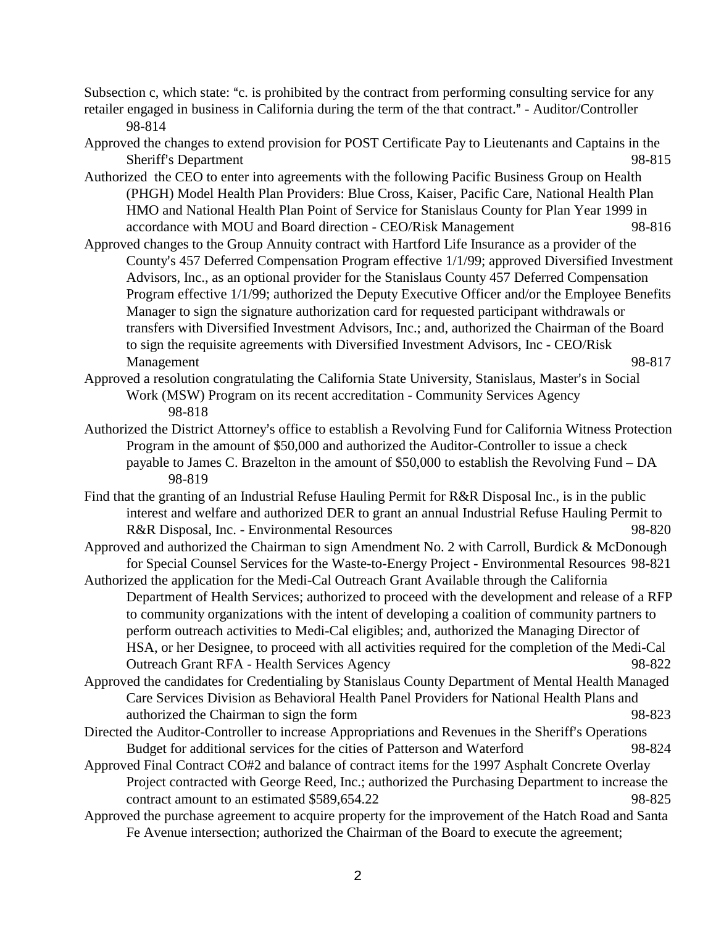Subsection c, which state: "c. is prohibited by the contract from performing consulting service for any

retailer engaged in business in California during the term of the that contract." - Auditor/Controller 98-814

Approved the changes to extend provision for POST Certificate Pay to Lieutenants and Captains in the Sheriff's Department 98-815

- Authorized the CEO to enter into agreements with the following Pacific Business Group on Health (PHGH) Model Health Plan Providers: Blue Cross, Kaiser, Pacific Care, National Health Plan HMO and National Health Plan Point of Service for Stanislaus County for Plan Year 1999 in accordance with MOU and Board direction - CEO/Risk Management 98-816
- Approved changes to the Group Annuity contract with Hartford Life Insurance as a provider of the County's 457 Deferred Compensation Program effective 1/1/99; approved Diversified Investment Advisors, Inc., as an optional provider for the Stanislaus County 457 Deferred Compensation Program effective 1/1/99; authorized the Deputy Executive Officer and/or the Employee Benefits Manager to sign the signature authorization card for requested participant withdrawals or transfers with Diversified Investment Advisors, Inc.; and, authorized the Chairman of the Board to sign the requisite agreements with Diversified Investment Advisors, Inc - CEO/Risk Management 98-817
- Approved a resolution congratulating the California State University, Stanislaus, Master's in Social Work (MSW) Program on its recent accreditation - Community Services Agency 98-818
- Authorized the District Attorney's office to establish a Revolving Fund for California Witness Protection Program in the amount of \$50,000 and authorized the Auditor-Controller to issue a check payable to James C. Brazelton in the amount of \$50,000 to establish the Revolving Fund – DA 98-819
- Find that the granting of an Industrial Refuse Hauling Permit for R&R Disposal Inc., is in the public interest and welfare and authorized DER to grant an annual Industrial Refuse Hauling Permit to R&R Disposal, Inc. - Environmental Resources 98-820
- Approved and authorized the Chairman to sign Amendment No. 2 with Carroll, Burdick & McDonough for Special Counsel Services for the Waste-to-Energy Project - Environmental Resources 98-821
- Authorized the application for the Medi-Cal Outreach Grant Available through the California Department of Health Services; authorized to proceed with the development and release of a RFP to community organizations with the intent of developing a coalition of community partners to perform outreach activities to Medi-Cal eligibles; and, authorized the Managing Director of HSA, or her Designee, to proceed with all activities required for the completion of the Medi-Cal Outreach Grant RFA - Health Services Agency 98-822
- Approved the candidates for Credentialing by Stanislaus County Department of Mental Health Managed Care Services Division as Behavioral Health Panel Providers for National Health Plans and authorized the Chairman to sign the form 98-823
- Directed the Auditor-Controller to increase Appropriations and Revenues in the Sheriff's Operations Budget for additional services for the cities of Patterson and Waterford 98-824
- Approved Final Contract CO#2 and balance of contract items for the 1997 Asphalt Concrete Overlay Project contracted with George Reed, Inc.; authorized the Purchasing Department to increase the contract amount to an estimated \$589,654.22 98-825
- Approved the purchase agreement to acquire property for the improvement of the Hatch Road and Santa Fe Avenue intersection; authorized the Chairman of the Board to execute the agreement;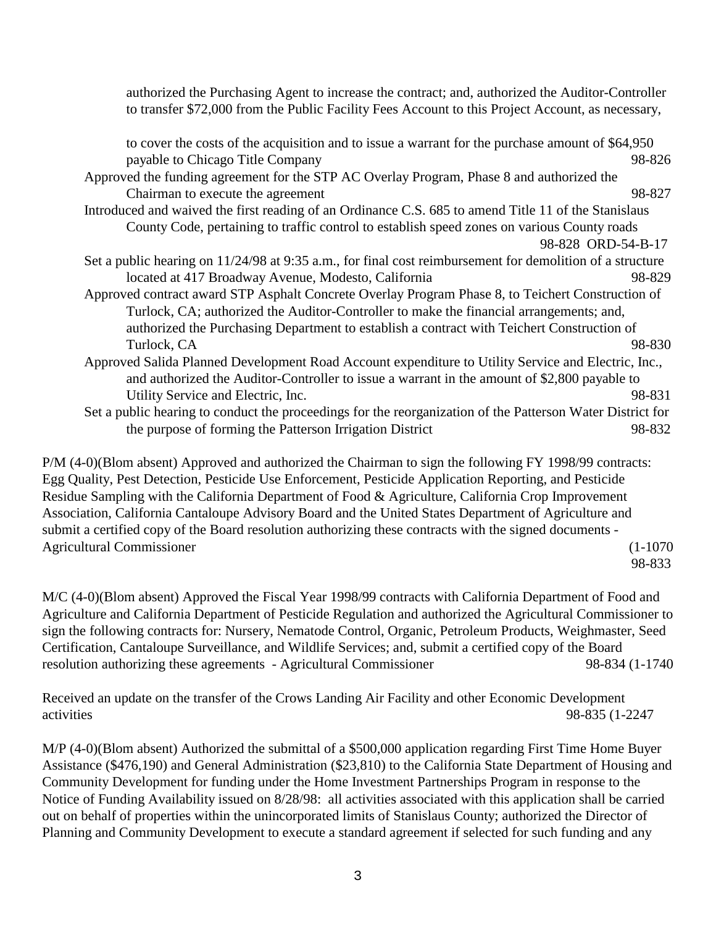authorized the Purchasing Agent to increase the contract; and, authorized the Auditor-Controller to transfer \$72,000 from the Public Facility Fees Account to this Project Account, as necessary,

| to cover the costs of the acquisition and to issue a warrant for the purchase amount of \$64,950           |
|------------------------------------------------------------------------------------------------------------|
| payable to Chicago Title Company<br>98-826                                                                 |
| Approved the funding agreement for the STP AC Overlay Program, Phase 8 and authorized the                  |
| Chairman to execute the agreement<br>98-827                                                                |
| Introduced and waived the first reading of an Ordinance C.S. 685 to amend Title 11 of the Stanislaus       |
| County Code, pertaining to traffic control to establish speed zones on various County roads                |
| 98-828 ORD-54-B-17                                                                                         |
| Set a public hearing on 11/24/98 at 9:35 a.m., for final cost reimbursement for demolition of a structure  |
| located at 417 Broadway Avenue, Modesto, California<br>98-829                                              |
| Approved contract award STP Asphalt Concrete Overlay Program Phase 8, to Teichert Construction of          |
| Turlock, CA; authorized the Auditor-Controller to make the financial arrangements; and,                    |
| authorized the Purchasing Department to establish a contract with Teichert Construction of                 |
| Turlock, CA<br>98-830                                                                                      |
| Approved Salida Planned Development Road Account expenditure to Utility Service and Electric, Inc.,        |
| and authorized the Auditor-Controller to issue a warrant in the amount of \$2,800 payable to               |
| Utility Service and Electric, Inc.<br>98-831                                                               |
| Set a public hearing to conduct the proceedings for the reorganization of the Patterson Water District for |
| the purpose of forming the Patterson Irrigation District<br>98-832                                         |
|                                                                                                            |

P/M (4-0)(Blom absent) Approved and authorized the Chairman to sign the following FY 1998/99 contracts: Egg Quality, Pest Detection, Pesticide Use Enforcement, Pesticide Application Reporting, and Pesticide Residue Sampling with the California Department of Food & Agriculture, California Crop Improvement Association, California Cantaloupe Advisory Board and the United States Department of Agriculture and submit a certified copy of the Board resolution authorizing these contracts with the signed documents - Agricultural Commissioner (1-1070

98-833

M/C (4-0)(Blom absent) Approved the Fiscal Year 1998/99 contracts with California Department of Food and Agriculture and California Department of Pesticide Regulation and authorized the Agricultural Commissioner to sign the following contracts for: Nursery, Nematode Control, Organic, Petroleum Products, Weighmaster, Seed Certification, Cantaloupe Surveillance, and Wildlife Services; and, submit a certified copy of the Board resolution authorizing these agreements - Agricultural Commissioner 98-834 (1-1740

Received an update on the transfer of the Crows Landing Air Facility and other Economic Development activities 98-835 (1-2247

M/P (4-0)(Blom absent) Authorized the submittal of a \$500,000 application regarding First Time Home Buyer Assistance (\$476,190) and General Administration (\$23,810) to the California State Department of Housing and Community Development for funding under the Home Investment Partnerships Program in response to the Notice of Funding Availability issued on 8/28/98: all activities associated with this application shall be carried out on behalf of properties within the unincorporated limits of Stanislaus County; authorized the Director of Planning and Community Development to execute a standard agreement if selected for such funding and any